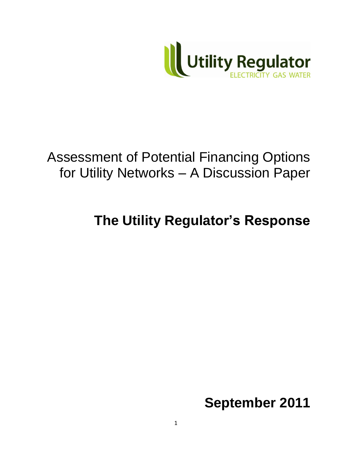

# Assessment of Potential Financing Options for Utility Networks – A Discussion Paper

**The Utility Regulator's Response**

**September 2011**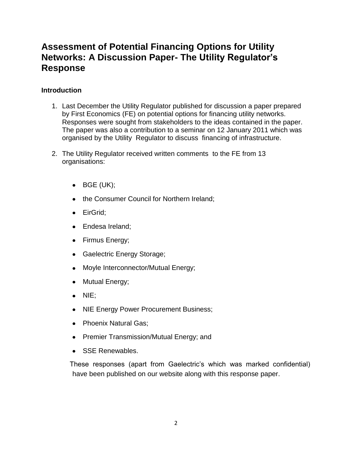# **Assessment of Potential Financing Options for Utility Networks: A Discussion Paper- The Utility Regulator's Response**

# **Introduction**

- 1. Last December the Utility Regulator published for discussion a paper prepared by First Economics (FE) on potential options for financing utility networks. Responses were sought from stakeholders to the ideas contained in the paper. The paper was also a contribution to a seminar on 12 January 2011 which was organised by the Utility Regulator to discuss financing of infrastructure.
- 2. The Utility Regulator received written comments to the FE from 13 organisations:
	- $\bullet$  BGE (UK);
	- the Consumer Council for Northern Ireland;
	- EirGrid:
	- Endesa Ireland;
	- Firmus Energy;
	- Gaelectric Energy Storage;
	- Moyle Interconnector/Mutual Energy;  $\bullet$
	- Mutual Energy;  $\bullet$
	- NIE:
	- NIE Energy Power Procurement Business;
	- Phoenix Natural Gas:
	- Premier Transmission/Mutual Energy; and
	- SSE Renewables.  $\bullet$

 These responses (apart from Gaelectric's which was marked confidential) have been published on our website along with this response paper.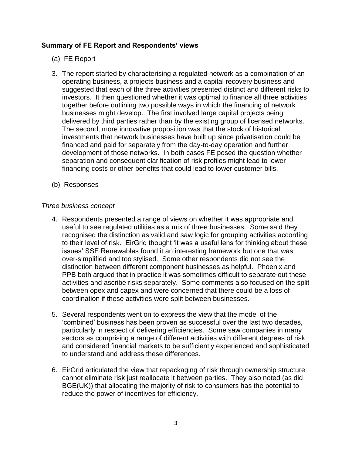### **Summary of FE Report and Respondents' views**

- (a) FE Report
- 3. The report started by characterising a regulated network as a combination of an operating business, a projects business and a capital recovery business and suggested that each of the three activities presented distinct and different risks to investors. It then questioned whether it was optimal to finance all three activities together before outlining two possible ways in which the financing of network businesses might develop. The first involved large capital projects being delivered by third parties rather than by the existing group of licensed networks. The second, more innovative proposition was that the stock of historical investments that network businesses have built up since privatisation could be financed and paid for separately from the day-to-day operation and further development of those networks. In both cases FE posed the question whether separation and consequent clarification of risk profiles might lead to lower financing costs or other benefits that could lead to lower customer bills.
- (b) Responses

#### *Three business concept*

- 4. Respondents presented a range of views on whether it was appropriate and useful to see regulated utilities as a mix of three businesses. Some said they recognised the distinction as valid and saw logic for grouping activities according to their level of risk. EirGrid thought 'it was a useful lens for thinking about these issues' SSE Renewables found it an interesting framework but one that was over-simplified and too stylised. Some other respondents did not see the distinction between different component businesses as helpful. Phoenix and PPB both argued that in practice it was sometimes difficult to separate out these activities and ascribe risks separately. Some comments also focused on the split between opex and capex and were concerned that there could be a loss of coordination if these activities were split between businesses.
- 5. Several respondents went on to express the view that the model of the 'combined' business has been proven as successful over the last two decades, particularly in respect of delivering efficiencies. Some saw companies in many sectors as comprising a range of different activities with different degrees of risk and considered financial markets to be sufficiently experienced and sophisticated to understand and address these differences.
- 6. EirGrid articulated the view that repackaging of risk through ownership structure cannot eliminate risk just reallocate it between parties. They also noted (as did BGE(UK)) that allocating the majority of risk to consumers has the potential to reduce the power of incentives for efficiency.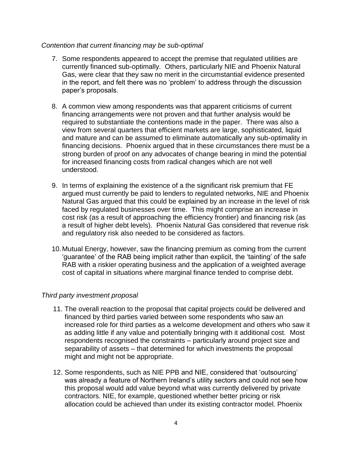#### *Contention that current financing may be sub-optimal*

- 7. Some respondents appeared to accept the premise that regulated utilities are currently financed sub-optimally. Others, particularly NIE and Phoenix Natural Gas, were clear that they saw no merit in the circumstantial evidence presented in the report, and felt there was no 'problem' to address through the discussion paper's proposals.
- 8. A common view among respondents was that apparent criticisms of current financing arrangements were not proven and that further analysis would be required to substantiate the contentions made in the paper. There was also a view from several quarters that efficient markets are large, sophisticated, liquid and mature and can be assumed to eliminate automatically any sub-optimality in financing decisions. Phoenix argued that in these circumstances there must be a strong burden of proof on any advocates of change bearing in mind the potential for increased financing costs from radical changes which are not well understood.
- 9. In terms of explaining the existence of a the significant risk premium that FE argued must currently be paid to lenders to regulated networks, NIE and Phoenix Natural Gas argued that this could be explained by an increase in the level of risk faced by regulated businesses over time. This might comprise an increase in cost risk (as a result of approaching the efficiency frontier) and financing risk (as a result of higher debt levels). Phoenix Natural Gas considered that revenue risk and regulatory risk also needed to be considered as factors.
- 10.Mutual Energy, however, saw the financing premium as coming from the current 'guarantee' of the RAB being implicit rather than explicit, the 'tainting' of the safe RAB with a riskier operating business and the application of a weighted average cost of capital in situations where marginal finance tended to comprise debt.

## *Third party investment proposal*

- 11. The overall reaction to the proposal that capital projects could be delivered and financed by third parties varied between some respondents who saw an increased role for third parties as a welcome development and others who saw it as adding little if any value and potentially bringing with it additional cost. Most respondents recognised the constraints – particularly around project size and separability of assets – that determined for which investments the proposal might and might not be appropriate.
- 12. Some respondents, such as NIE PPB and NIE, considered that 'outsourcing' was already a feature of Northern Ireland's utility sectors and could not see how this proposal would add value beyond what was currently delivered by private contractors. NIE, for example, questioned whether better pricing or risk allocation could be achieved than under its existing contractor model. Phoenix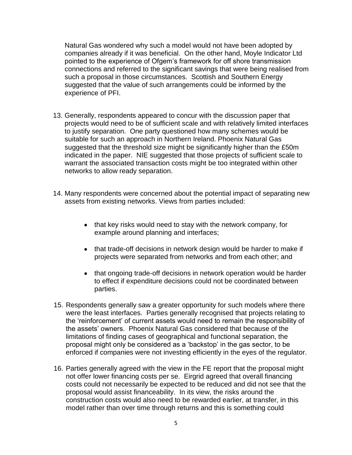Natural Gas wondered why such a model would not have been adopted by companies already if it was beneficial. On the other hand, Moyle Indicator Ltd pointed to the experience of Ofgem's framework for off shore transmission connections and referred to the significant savings that were being realised from such a proposal in those circumstances. Scottish and Southern Energy suggested that the value of such arrangements could be informed by the experience of PFI.

- 13. Generally, respondents appeared to concur with the discussion paper that projects would need to be of sufficient scale and with relatively limited interfaces to justify separation. One party questioned how many schemes would be suitable for such an approach in Northern Ireland. Phoenix Natural Gas suggested that the threshold size might be significantly higher than the £50m indicated in the paper. NIE suggested that those projects of sufficient scale to warrant the associated transaction costs might be too integrated within other networks to allow ready separation.
- 14. Many respondents were concerned about the potential impact of separating new assets from existing networks. Views from parties included:
	- that key risks would need to stay with the network company, for example around planning and interfaces;
	- that trade-off decisions in network design would be harder to make if projects were separated from networks and from each other; and
	- that ongoing trade-off decisions in network operation would be harder to effect if expenditure decisions could not be coordinated between parties.
- 15. Respondents generally saw a greater opportunity for such models where there were the least interfaces. Parties generally recognised that projects relating to the 'reinforcement' of current assets would need to remain the responsibility of the assets' owners. Phoenix Natural Gas considered that because of the limitations of finding cases of geographical and functional separation, the proposal might only be considered as a 'backstop' in the gas sector, to be enforced if companies were not investing efficiently in the eyes of the regulator.
- 16. Parties generally agreed with the view in the FE report that the proposal might not offer lower financing costs per se. Eirgrid agreed that overall financing costs could not necessarily be expected to be reduced and did not see that the proposal would assist financeability. In its view, the risks around the construction costs would also need to be rewarded earlier, at transfer, in this model rather than over time through returns and this is something could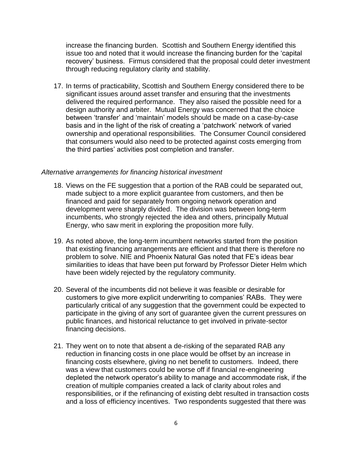increase the financing burden. Scottish and Southern Energy identified this issue too and noted that it would increase the financing burden for the 'capital recovery' business. Firmus considered that the proposal could deter investment through reducing regulatory clarity and stability.

17. In terms of practicability, Scottish and Southern Energy considered there to be significant issues around asset transfer and ensuring that the investments delivered the required performance. They also raised the possible need for a design authority and arbiter. Mutual Energy was concerned that the choice between 'transfer' and 'maintain' models should be made on a case-by-case basis and in the light of the risk of creating a 'patchwork' network of varied ownership and operational responsibilities. The Consumer Council considered that consumers would also need to be protected against costs emerging from the third parties' activities post completion and transfer.

#### *Alternative arrangements for financing historical investment*

- 18. Views on the FE suggestion that a portion of the RAB could be separated out, made subject to a more explicit guarantee from customers, and then be financed and paid for separately from ongoing network operation and development were sharply divided. The division was between long-term incumbents, who strongly rejected the idea and others, principally Mutual Energy, who saw merit in exploring the proposition more fully.
- 19. As noted above, the long-term incumbent networks started from the position that existing financing arrangements are efficient and that there is therefore no problem to solve. NIE and Phoenix Natural Gas noted that FE's ideas bear similarities to ideas that have been put forward by Professor Dieter Helm which have been widely rejected by the regulatory community.
- 20. Several of the incumbents did not believe it was feasible or desirable for customers to give more explicit underwriting to companies' RABs. They were particularly critical of any suggestion that the government could be expected to participate in the giving of any sort of guarantee given the current pressures on public finances, and historical reluctance to get involved in private-sector financing decisions.
- 21. They went on to note that absent a de-risking of the separated RAB any reduction in financing costs in one place would be offset by an increase in financing costs elsewhere, giving no net benefit to customers. Indeed, there was a view that customers could be worse off if financial re-engineering depleted the network operator's ability to manage and accommodate risk, if the creation of multiple companies created a lack of clarity about roles and responsibilities, or if the refinancing of existing debt resulted in transaction costs and a loss of efficiency incentives. Two respondents suggested that there was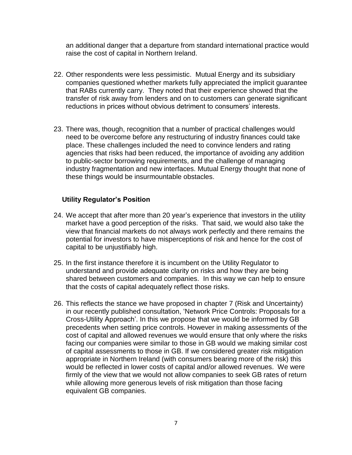an additional danger that a departure from standard international practice would raise the cost of capital in Northern Ireland.

- 22. Other respondents were less pessimistic. Mutual Energy and its subsidiary companies questioned whether markets fully appreciated the implicit guarantee that RABs currently carry. They noted that their experience showed that the transfer of risk away from lenders and on to customers can generate significant reductions in prices without obvious detriment to consumers' interests.
- 23. There was, though, recognition that a number of practical challenges would need to be overcome before any restructuring of industry finances could take place. These challenges included the need to convince lenders and rating agencies that risks had been reduced, the importance of avoiding any addition to public-sector borrowing requirements, and the challenge of managing industry fragmentation and new interfaces. Mutual Energy thought that none of these things would be insurmountable obstacles.

#### **Utility Regulator's Position**

- 24. We accept that after more than 20 year's experience that investors in the utility market have a good perception of the risks. That said, we would also take the view that financial markets do not always work perfectly and there remains the potential for investors to have misperceptions of risk and hence for the cost of capital to be unjustifiably high.
- 25. In the first instance therefore it is incumbent on the Utility Regulator to understand and provide adequate clarity on risks and how they are being shared between customers and companies. In this way we can help to ensure that the costs of capital adequately reflect those risks.
- 26. This reflects the stance we have proposed in chapter 7 (Risk and Uncertainty) in our recently published consultation, 'Network Price Controls: Proposals for a Cross-Utility Approach'. In this we propose that we would be informed by GB precedents when setting price controls. However in making assessments of the cost of capital and allowed revenues we would ensure that only where the risks facing our companies were similar to those in GB would we making similar cost of capital assessments to those in GB. If we considered greater risk mitigation appropriate in Northern Ireland (with consumers bearing more of the risk) this would be reflected in lower costs of capital and/or allowed revenues. We were firmly of the view that we would not allow companies to seek GB rates of return while allowing more generous levels of risk mitigation than those facing equivalent GB companies.